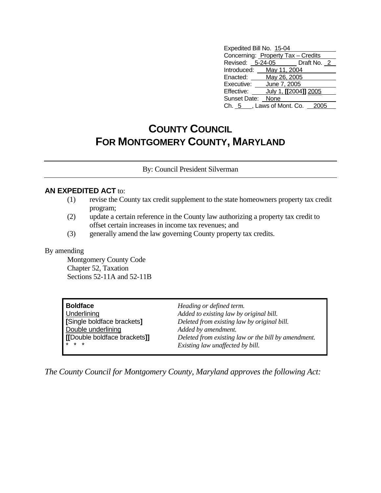| Expedited Bill No. 15-04           |                       |  |  |
|------------------------------------|-----------------------|--|--|
| Concerning: Property Tax - Credits |                       |  |  |
| Revised: 5-24-05 Draft No. 2       |                       |  |  |
| Introduced: May 11, 2004           |                       |  |  |
| Enacted: May 26, 2005              |                       |  |  |
| Executive:                         | June 7, 2005          |  |  |
| Effective:                         | July 1, [[2004]] 2005 |  |  |
| Sunset Date: None                  |                       |  |  |
| Ch. 5 , Laws of Mont. Co.          |                       |  |  |

## **COUNTY COUNCIL FOR MONTGOMERY COUNTY, MARYLAND**

By: Council President Silverman

## **AN EXPEDITED ACT** to:

- (1) revise the County tax credit supplement to the state homeowners property tax credit program;
- (2) update a certain reference in the County law authorizing a property tax credit to offset certain increases in income tax revenues; and
- (3) generally amend the law governing County property tax credits.

## By amending

 Montgomery County Code Chapter 52, Taxation Sections 52-11A and 52-11B

| Boldface                                         | Heading or defined term.                            |
|--------------------------------------------------|-----------------------------------------------------|
| <b>Underlining</b>                               | Added to existing law by original bill.             |
| Single boldface brackets]                        | Deleted from existing law by original bill.         |
| Double underlining                               | Added by amendment.                                 |
| [[Double boldface brackets]]                     | Deleted from existing law or the bill by amendment. |
| $\mathbf{1} \times \mathbf{1} \times \mathbf{1}$ | Existing law unaffected by bill.                    |

*The County Council for Montgomery County, Maryland approves the following Act:*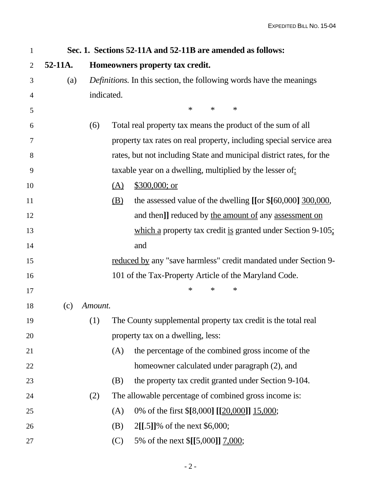| $\mathbf{1}$   |         |            | Sec. 1. Sections 52-11A and 52-11B are amended as follows:                                   |
|----------------|---------|------------|----------------------------------------------------------------------------------------------|
| $\overline{2}$ | 52-11A. |            | Homeowners property tax credit.                                                              |
| 3              | (a)     |            | <i>Definitions</i> . In this section, the following words have the meanings                  |
| 4              |         | indicated. |                                                                                              |
| 5              |         |            | $\ast$<br>$\ast$<br>$\ast$                                                                   |
| 6              |         | (6)        | Total real property tax means the product of the sum of all                                  |
| 7              |         |            | property tax rates on real property, including special service area                          |
| 8              |         |            | rates, but not including State and municipal district rates, for the                         |
| 9              |         |            | taxable year on a dwelling, multiplied by the lesser of:                                     |
| 10             |         |            | $$300,000;$ or<br>$\Delta$                                                                   |
| 11             |         |            | the assessed value of the dwelling [[or \$[60,000] 300,000,<br>$\underline{\textcircled{B}}$ |
| 12             |         |            | and then]] reduced by the amount of any assessment on                                        |
| 13             |         |            | which a property tax credit is granted under Section $9-105$ ;                               |
| 14             |         |            | and                                                                                          |
| 15             |         |            | reduced by any "save harmless" credit mandated under Section 9-                              |
| 16             |         |            | 101 of the Tax-Property Article of the Maryland Code.                                        |
| 17             |         |            | $\ast$<br>∗<br>∗                                                                             |
| 18             | (c)     | Amount.    |                                                                                              |
| 19             |         | (1)        | The County supplemental property tax credit is the total real                                |
| 20             |         |            | property tax on a dwelling, less:                                                            |
| 21             |         |            | (A)<br>the percentage of the combined gross income of the                                    |
| 22             |         |            | homeowner calculated under paragraph (2), and                                                |
| 23             |         |            | the property tax credit granted under Section 9-104.<br>(B)                                  |
| 24             |         | (2)        | The allowable percentage of combined gross income is:                                        |
| 25             |         |            | 0% of the first \$[8,000] [[20,000]] 15,000;<br>(A)                                          |
| 26             |         |            | 2[[.5]]% of the next \$6,000;<br>(B)                                                         |
| 27             |         |            | 5% of the next \$[[5,000]] 7,000;<br>(C)                                                     |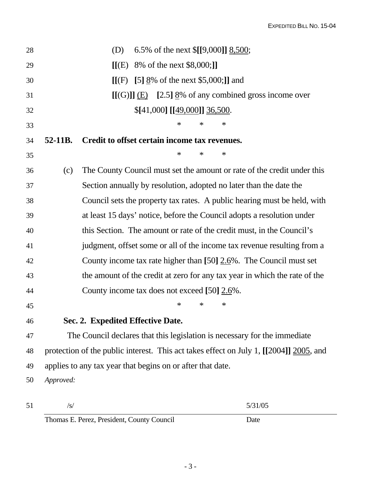| 28 |           | 6.5% of the next \$[[9,000]] 8,500;<br>(D)                                             |
|----|-----------|----------------------------------------------------------------------------------------|
| 29 |           | $[[(E) 8\% \text{ of the next $8,000;]]]$                                              |
| 30 |           | $[[(F) [5] \underline{8}\% \text{ of the next $5,000;]]$ and                           |
| 31 |           | $[(G)$ ]] $(E)$ [2.5] $8\%$ of any combined gross income over                          |
| 32 |           | \$[41,000] [[49,000]] 36,500.                                                          |
| 33 |           | ∗<br>∗<br>$\ast$                                                                       |
| 34 | 52-11B.   | Credit to offset certain income tax revenues.                                          |
| 35 |           | $\ast$<br>$\ast$<br>∗                                                                  |
| 36 | (c)       | The County Council must set the amount or rate of the credit under this                |
| 37 |           | Section annually by resolution, adopted no later than the date the                     |
| 38 |           | Council sets the property tax rates. A public hearing must be held, with               |
| 39 |           | at least 15 days' notice, before the Council adopts a resolution under                 |
| 40 |           | this Section. The amount or rate of the credit must, in the Council's                  |
| 41 |           | judgment, offset some or all of the income tax revenue resulting from a                |
| 42 |           | County income tax rate higher than $[50]$ $2.6\%$ . The Council must set               |
| 43 |           | the amount of the credit at zero for any tax year in which the rate of the             |
| 44 |           | County income tax does not exceed [50] 2.6%.                                           |
| 45 |           | $\ast$<br>∗<br>$\ast$                                                                  |
| 46 |           | Sec. 2. Expedited Effective Date.                                                      |
| 47 |           | The Council declares that this legislation is necessary for the immediate              |
| 48 |           | protection of the public interest. This act takes effect on July 1, [[2004]] 2005, and |
| 49 |           | applies to any tax year that begins on or after that date.                             |
| 50 | Approved: |                                                                                        |
|    |           |                                                                                        |

| 51 |                                            | 5/31/05 |
|----|--------------------------------------------|---------|
|    | Thomas E. Perez, President, County Council | Date    |